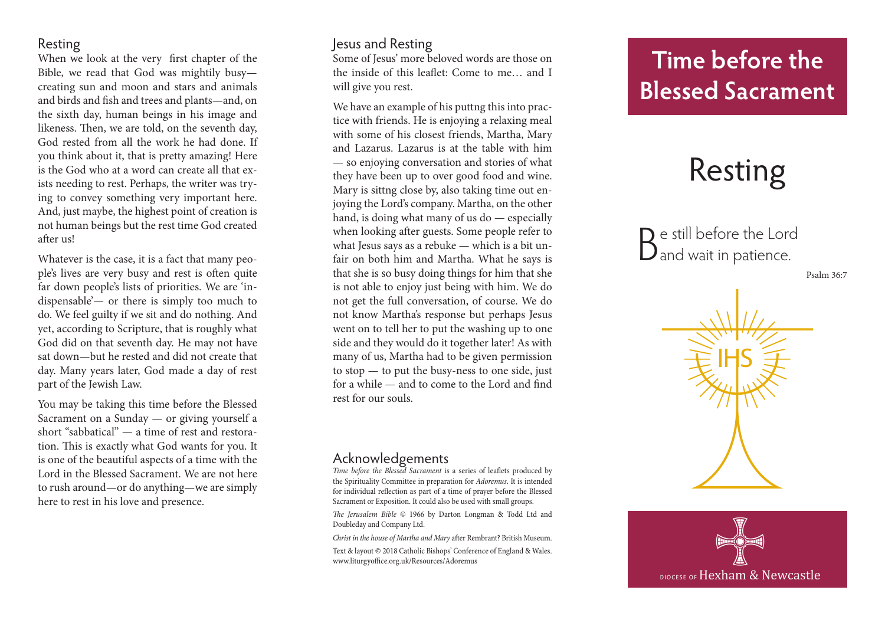### Resting

When we look at the very first chapter of the Bible, we read that God was mightily busy creating sun and moon and stars and animals and birds and fish and trees and plants—and, on the sixth day, human beings in his image and likeness. Then, we are told, on the seventh day, God rested from all the work he had done. If you think about it, that is pretty amazing! Here is the God who at a word can create all that ex ists needing to rest. Perhaps, the writer was try ing to convey something very important here. And, just maybe, the highest point of creation is not human beings but the rest time God created after us!

Whatever is the case, it is a fact that many peo ple's lives are very busy and rest is often quite far down people's lists of priorities. We are 'in dispensable'— or there is simply too much to do. We feel guilty if we sit and do nothing. And yet, according to Scripture, that is roughly what God did on that seventh day. He may not have sat down—but he rested and did not create that day. Many years later, God made a day of rest part of the Jewish Law.

You may be taking this time before the Blessed Sacrament on a Sunday — or giving yourself a short "sabbatical" — a time of rest and restora tion. This is exactly what God wants for you. It is one of the beautiful aspects of a time with the Lord in the Blessed Sacrament. We are not here to rush around—or do anything—we are simply here to rest in his love and presence.

### Jesus and Resting

Some of Jesus' more beloved words are those on the inside of this leaflet: Come to me… and I will give you rest.

We have an example of his puttng this into prac tice with friends. He is enjoying a relaxing meal with some of his closest friends, Martha, Mary and Lazarus. Lazarus is at the table with him — so enjoying conversation and stories of what they have been up to over good food and wine. Mary is sittng close by, also taking time out en joying the Lord's company. Martha, on the other hand, is doing what many of us do — especially when looking after guests. Some people refer to what Jesus says as a rebuke — which is a bit un fair on both him and Martha. What he says is that she is so busy doing things for him that she is not able to enjoy just being with him. We do not get the full conversation, of course. We do not know Martha's response but perhaps Jesus went on to tell her to put the washing up to one side and they would do it together later! As with many of us, Martha had to be given permission to stop — to put the busy-ness to one side, just for a while — and to come to the Lord and find rest for our souls.

### Acknowledgements

*Time before the Blessed Sacrament* is a series of leaflets produced by the Spirituality Committee in preparation for *Adoremus*. It is intended for individual reflection as part of a time of prayer before the Blessed Sacrament or Exposition. It could also be used with small groups.

*The Jerusalem Bible* © 1966 by Darton Longman & Todd Ltd and Doubleday and Company Ltd.

*Christ in the house of Martha and Mary* after Rembrant? British Museum.

Text & layout © 2018 Catholic Bishops' Conference of England & Wales. www.liturgyoffice.org.uk/Resources/Adoremus

## **Time before the Blessed Sacrament**

# Resting

Be still before the Lord and wait in patience.

Psalm 36:7